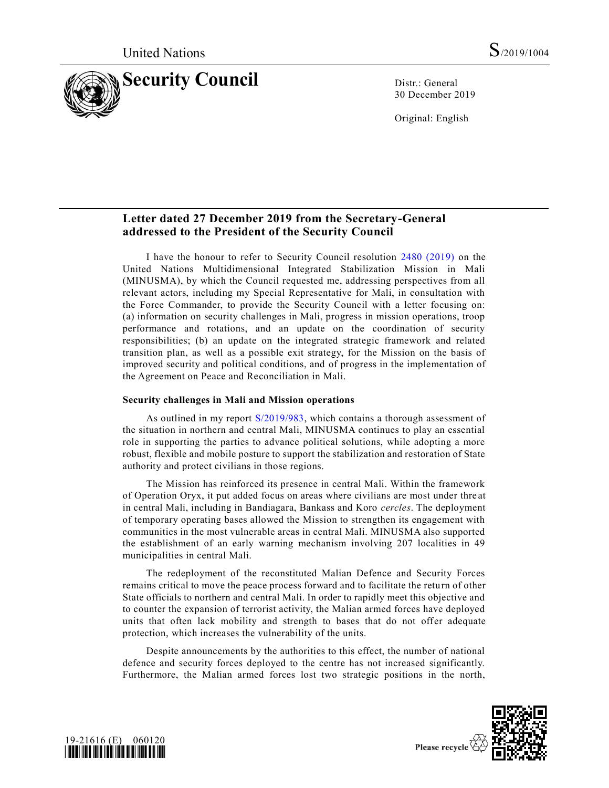

30 December 2019

Original: English

# **Letter dated 27 December 2019 from the Secretary-General addressed to the President of the Security Council**

I have the honour to refer to Security Council resolution [2480 \(2019\)](https://undocs.org/en/S/RES/2480%20(2019)) on the United Nations Multidimensional Integrated Stabilization Mission in Mali (MINUSMA), by which the Council requested me, addressing perspectives from all relevant actors, including my Special Representative for Mali, in consultation with the Force Commander, to provide the Security Council with a letter focusing on: (a) information on security challenges in Mali, progress in mission operations, troop performance and rotations, and an update on the coordination of security responsibilities; (b) an update on the integrated strategic framework and related transition plan, as well as a possible exit strategy, for the Mission on the basis of improved security and political conditions, and of progress in the implementation of the Agreement on Peace and Reconciliation in Mali.

## **Security challenges in Mali and Mission operations**

As outlined in my report [S/2019/983,](https://undocs.org/en/S/2019/983) which contains a thorough assessment of the situation in northern and central Mali, MINUSMA continues to play an essential role in supporting the parties to advance political solutions, while adopting a more robust, flexible and mobile posture to support the stabilization and restoration of State authority and protect civilians in those regions.

The Mission has reinforced its presence in central Mali. Within the framework of Operation Oryx, it put added focus on areas where civilians are most under thre at in central Mali, including in Bandiagara, Bankass and Koro *cercles*. The deployment of temporary operating bases allowed the Mission to strengthen its engagement with communities in the most vulnerable areas in central Mali. MINUSMA also supported the establishment of an early warning mechanism involving 207 localities in 49 municipalities in central Mali.

The redeployment of the reconstituted Malian Defence and Security Forces remains critical to move the peace process forward and to facilitate the return of other State officials to northern and central Mali. In order to rapidly meet this objective and to counter the expansion of terrorist activity, the Malian armed forces have deployed units that often lack mobility and strength to bases that do not offer adequate protection, which increases the vulnerability of the units.

Despite announcements by the authorities to this effect, the number of national defence and security forces deployed to the centre has not increased significantly. Furthermore, the Malian armed forces lost two strategic positions in the north,



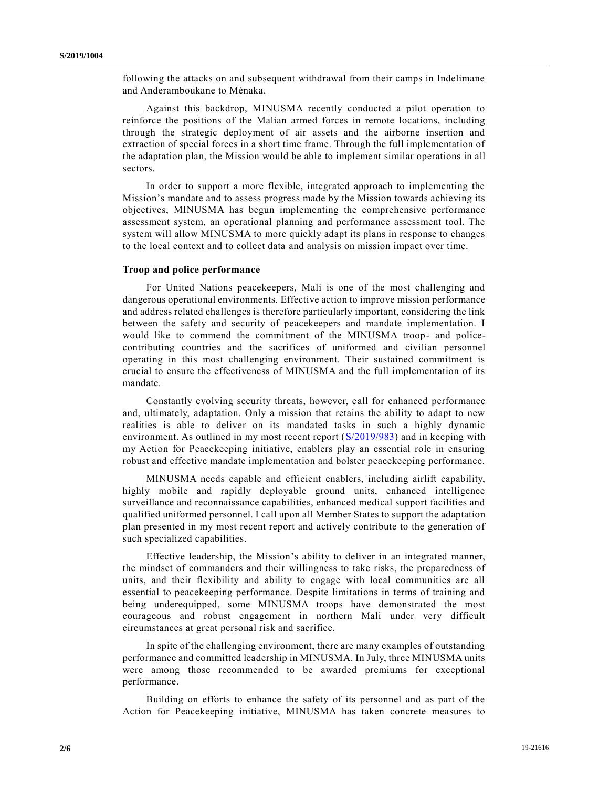following the attacks on and subsequent withdrawal from their camps in Indelimane and Anderamboukane to Ménaka.

Against this backdrop, MINUSMA recently conducted a pilot operation to reinforce the positions of the Malian armed forces in remote locations, including through the strategic deployment of air assets and the airborne insertion and extraction of special forces in a short time frame. Through the full implementation of the adaptation plan, the Mission would be able to implement similar operations in all sectors.

In order to support a more flexible, integrated approach to implementing the Mission's mandate and to assess progress made by the Mission towards achieving its objectives, MINUSMA has begun implementing the comprehensive performance assessment system, an operational planning and performance assessment tool. The system will allow MINUSMA to more quickly adapt its plans in response to changes to the local context and to collect data and analysis on mission impact over time.

## **Troop and police performance**

For United Nations peacekeepers, Mali is one of the most challenging and dangerous operational environments. Effective action to improve mission performance and address related challenges is therefore particularly important, considering the link between the safety and security of peacekeepers and mandate implementation. I would like to commend the commitment of the MINUSMA troop- and policecontributing countries and the sacrifices of uniformed and civilian personnel operating in this most challenging environment. Their sustained commitment is crucial to ensure the effectiveness of MINUSMA and the full implementation of its mandate.

Constantly evolving security threats, however, call for enhanced performance and, ultimately, adaptation. Only a mission that retains the ability to adapt to new realities is able to deliver on its mandated tasks in such a highly dynamic environment. As outlined in my most recent report [\(S/2019/983\)](https://undocs.org/en/S/2019/983) and in keeping with my Action for Peacekeeping initiative, enablers play an essential role in ensuring robust and effective mandate implementation and bolster peacekeeping performance.

MINUSMA needs capable and efficient enablers, including airlift capability, highly mobile and rapidly deployable ground units, enhanced intelligence surveillance and reconnaissance capabilities, enhanced medical support facilities and qualified uniformed personnel. I call upon all Member States to support the adaptation plan presented in my most recent report and actively contribute to the generation of such specialized capabilities.

Effective leadership, the Mission's ability to deliver in an integrated manner, the mindset of commanders and their willingness to take risks, the preparedness of units, and their flexibility and ability to engage with local communities are all essential to peacekeeping performance. Despite limitations in terms of training and being underequipped, some MINUSMA troops have demonstrated the most courageous and robust engagement in northern Mali under very difficult circumstances at great personal risk and sacrifice.

In spite of the challenging environment, there are many examples of outstanding performance and committed leadership in MINUSMA. In July, three MINUSMA units were among those recommended to be awarded premiums for exceptional performance.

Building on efforts to enhance the safety of its personnel and as part of the Action for Peacekeeping initiative, MINUSMA has taken concrete measures to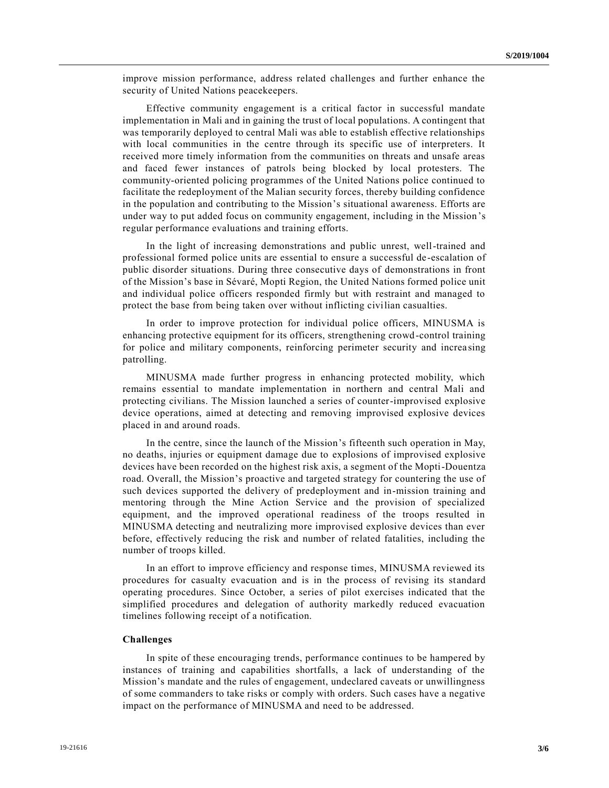improve mission performance, address related challenges and further enhance the security of United Nations peacekeepers.

Effective community engagement is a critical factor in successful mandate implementation in Mali and in gaining the trust of local populations. A contingent that was temporarily deployed to central Mali was able to establish effective relationships with local communities in the centre through its specific use of interpreters. It received more timely information from the communities on threats and unsafe areas and faced fewer instances of patrols being blocked by local protesters. The community-oriented policing programmes of the United Nations police continued to facilitate the redeployment of the Malian security forces, thereby building confidence in the population and contributing to the Mission's situational awareness. Efforts are under way to put added focus on community engagement, including in the Mission's regular performance evaluations and training efforts.

In the light of increasing demonstrations and public unrest, well-trained and professional formed police units are essential to ensure a successful de -escalation of public disorder situations. During three consecutive days of demonstrations in front of the Mission's base in Sévaré, Mopti Region, the United Nations formed police unit and individual police officers responded firmly but with restraint and managed to protect the base from being taken over without inflicting civilian casualties.

In order to improve protection for individual police officers, MINUSMA is enhancing protective equipment for its officers, strengthening crowd-control training for police and military components, reinforcing perimeter security and increa sing patrolling.

MINUSMA made further progress in enhancing protected mobility, which remains essential to mandate implementation in northern and central Mali and protecting civilians. The Mission launched a series of counter-improvised explosive device operations, aimed at detecting and removing improvised explosive devices placed in and around roads.

In the centre, since the launch of the Mission's fifteenth such operation in May, no deaths, injuries or equipment damage due to explosions of improvised explosive devices have been recorded on the highest risk axis, a segment of the Mopti-Douentza road. Overall, the Mission's proactive and targeted strategy for countering the use of such devices supported the delivery of predeployment and in-mission training and mentoring through the Mine Action Service and the provision of specialized equipment, and the improved operational readiness of the troops resulted in MINUSMA detecting and neutralizing more improvised explosive devices than ever before, effectively reducing the risk and number of related fatalities, including the number of troops killed.

In an effort to improve efficiency and response times, MINUSMA reviewed its procedures for casualty evacuation and is in the process of revising its standard operating procedures. Since October, a series of pilot exercises indicated that the simplified procedures and delegation of authority markedly reduced evacuation timelines following receipt of a notification.

## **Challenges**

In spite of these encouraging trends, performance continues to be hampered by instances of training and capabilities shortfalls, a lack of understanding of the Mission's mandate and the rules of engagement, undeclared caveats or unwillingness of some commanders to take risks or comply with orders. Such cases have a negative impact on the performance of MINUSMA and need to be addressed.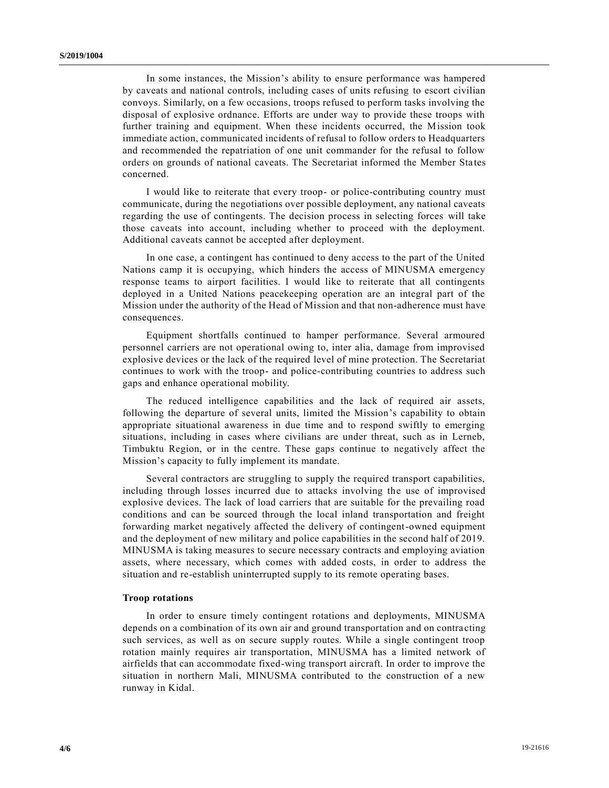In some instances, the Mission's ability to ensure performance was hampered by caveats and national controls, including cases of units refusing to escort civilian convoys. Similarly, on a few occasions, troops refused to perform tasks involving the disposal of explosive ordnance. Efforts are under way to provide these troops with further training and equipment. When these incidents occurred, the Mission took immediate action, communicated incidents of refusal to follow orders to Headquarters and recommended the repatriation of one unit commander for the refusal to follow orders on grounds of national caveats. The Secretariat informed the Member Sta tes concerned.

I would like to reiterate that every troop- or police-contributing country must communicate, during the negotiations over possible deployment, any national caveats regarding the use of contingents. The decision process in selecting forces will take those caveats into account, including whether to proceed with the deployment. Additional caveats cannot be accepted after deployment.

In one case, a contingent has continued to deny access to the part of the United Nations camp it is occupying, which hinders the access of MINUSMA emergency response teams to airport facilities. I would like to reiterate that all contingents deployed in a United Nations peacekeeping operation are an integral part of the Mission under the authority of the Head of Mission and that non-adherence must have consequences.

Equipment shortfalls continued to hamper performance. Several armoured personnel carriers are not operational owing to, inter alia, damage from improvised explosive devices or the lack of the required level of mine protection. The Secretariat continues to work with the troop- and police-contributing countries to address such gaps and enhance operational mobility.

The reduced intelligence capabilities and the lack of required air assets, following the departure of several units, limited the Mission's capability to obtain appropriate situational awareness in due time and to respond swiftly to emerging situations, including in cases where civilians are under threat, such as in Lerneb, Timbuktu Region, or in the centre. These gaps continue to negatively affect the Mission's capacity to fully implement its mandate.

Several contractors are struggling to supply the required transport capabilities, including through losses incurred due to attacks involving the use of improvised explosive devices. The lack of load carriers that are suitable for the prevailing road conditions and can be sourced through the local inland transportation and freight forwarding market negatively affected the delivery of contingent-owned equipment and the deployment of new military and police capabilities in the second half of 2019. MINUSMA is taking measures to secure necessary contracts and employing aviation assets, where necessary, which comes with added costs, in order to address the situation and re-establish uninterrupted supply to its remote operating bases.

#### **Troop rotations**

In order to ensure timely contingent rotations and deployments, MINUSMA depends on a combination of its own air and ground transportation and on contra cting such services, as well as on secure supply routes. While a single contingent troop rotation mainly requires air transportation, MINUSMA has a limited network of airfields that can accommodate fixed-wing transport aircraft. In order to improve the situation in northern Mali, MINUSMA contributed to the construction of a new runway in Kidal.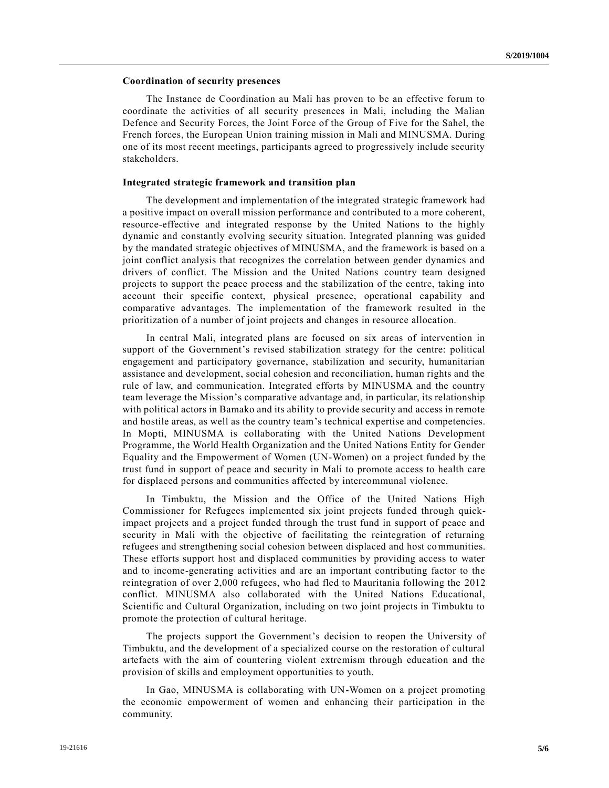## **Coordination of security presences**

The Instance de Coordination au Mali has proven to be an effective forum to coordinate the activities of all security presences in Mali, including the Malian Defence and Security Forces, the Joint Force of the Group of Five for the Sahel, the French forces, the European Union training mission in Mali and MINUSMA. During one of its most recent meetings, participants agreed to progressively include security stakeholders.

#### **Integrated strategic framework and transition plan**

The development and implementation of the integrated strategic framework had a positive impact on overall mission performance and contributed to a more coherent, resource-effective and integrated response by the United Nations to the highly dynamic and constantly evolving security situation. Integrated planning was guided by the mandated strategic objectives of MINUSMA, and the framework is based on a joint conflict analysis that recognizes the correlation between gender dynamics and drivers of conflict. The Mission and the United Nations country team designed projects to support the peace process and the stabilization of the centre, taking into account their specific context, physical presence, operational capability and comparative advantages. The implementation of the framework resulted in the prioritization of a number of joint projects and changes in resource allocation.

In central Mali, integrated plans are focused on six areas of intervention in support of the Government's revised stabilization strategy for the centre: political engagement and participatory governance, stabilization and security, humanitarian assistance and development, social cohesion and reconciliation, human rights and the rule of law, and communication. Integrated efforts by MINUSMA and the country team leverage the Mission's comparative advantage and, in particular, its relationship with political actors in Bamako and its ability to provide security and access in remote and hostile areas, as well as the country team's technical expertise and competencies. In Mopti, MINUSMA is collaborating with the United Nations Development Programme, the World Health Organization and the United Nations Entity for Gender Equality and the Empowerment of Women (UN-Women) on a project funded by the trust fund in support of peace and security in Mali to promote access to health care for displaced persons and communities affected by intercommunal violence.

In Timbuktu, the Mission and the Office of the United Nations High Commissioner for Refugees implemented six joint projects funded through quickimpact projects and a project funded through the trust fund in support of peace and security in Mali with the objective of facilitating the reintegration of returning refugees and strengthening social cohesion between displaced and host communities. These efforts support host and displaced communities by providing access to water and to income-generating activities and are an important contributing factor to the reintegration of over 2,000 refugees, who had fled to Mauritania following the 2012 conflict. MINUSMA also collaborated with the United Nations Educational, Scientific and Cultural Organization, including on two joint projects in Timbuktu to promote the protection of cultural heritage.

The projects support the Government's decision to reopen the University of Timbuktu, and the development of a specialized course on the restoration of cultural artefacts with the aim of countering violent extremism through education and the provision of skills and employment opportunities to youth.

In Gao, MINUSMA is collaborating with UN-Women on a project promoting the economic empowerment of women and enhancing their participation in the community.